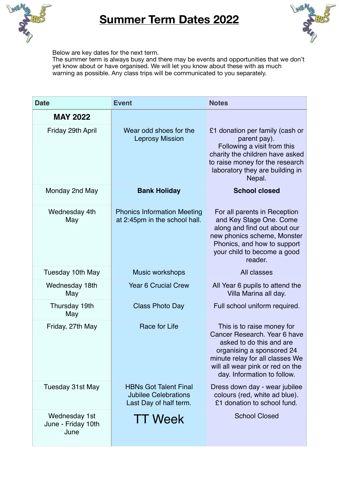

## **Summer Term Dates 2022**



Below are key dates for the next term.

The summer term is always busy and there may be events and opportunities that we don't yet know about or have organised. We will let you know about these with as much warning as possible. Any class trips will be communicated to you separately.

| <b>Date</b>                                 | <b>Event</b>                                                                          | <b>Notes</b>                                                                                                                                                                                                              |
|---------------------------------------------|---------------------------------------------------------------------------------------|---------------------------------------------------------------------------------------------------------------------------------------------------------------------------------------------------------------------------|
| <b>MAY 2022</b><br>Friday 29th April        | Wear odd shoes for the<br><b>Leprosy Mission</b>                                      | £1 donation per family (cash or<br>parent pay).<br>Following a visit from this<br>charity the children have asked<br>to raise money for the research<br>laboratory they are building in<br>Nepal.                         |
| Monday 2nd May                              | <b>Bank Holiday</b>                                                                   | <b>School closed</b>                                                                                                                                                                                                      |
| Wednesday 4th<br>May                        | <b>Phonics Information Meeting</b><br>at 2:45pm in the school hall.                   | For all parents in Reception<br>and Key Stage One. Come<br>along and find out about our<br>new phonics scheme, Monster<br>Phonics, and how to support<br>your child to become a good<br>reader.                           |
| Tuesday 10th May                            | <b>Music workshops</b>                                                                | All classes                                                                                                                                                                                                               |
| Wednesday 18th<br>May                       | <b>Year 6 Crucial Crew</b>                                                            | All Year 6 pupils to attend the<br>Villa Marina all day.                                                                                                                                                                  |
| Thursday 19th<br>May                        | <b>Class Photo Day</b>                                                                | Full school uniform required.                                                                                                                                                                                             |
| Friday, 27th May                            | Race for Life                                                                         | This is to raise money for<br>Cancer Research. Year 6 have<br>asked to do this and are<br>organising a sponsored 24<br>minute relay for all classes We<br>will all wear pink or red on the<br>day. Information to follow. |
| <b>Tuesday 31st May</b>                     | <b>HBNs Got Talent Final</b><br><b>Jubilee Celebrations</b><br>Last Day of half term. | Dress down day - wear jubilee<br>colours (red, white ad blue).<br>£1 donation to school fund.                                                                                                                             |
| Wednesday 1st<br>June - Friday 10th<br>June | <b>TT Week</b>                                                                        | <b>School Closed</b>                                                                                                                                                                                                      |